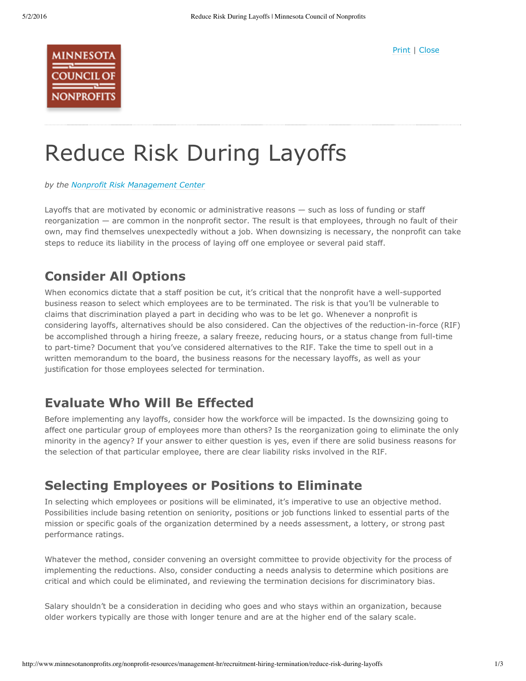

# Reduce Risk During Layoffs

*by the Nonprofit Risk [Management](http://www.nonprofitrisk.org/) Center*

Layoffs that are motivated by economic or administrative reasons — such as loss of funding or staff reorganization — are common in the nonprofit sector. The result is that employees, through no fault of their own, may find themselves unexpectedly without a job. When downsizing is necessary, the nonprofit can take steps to reduce its liability in the process of laying off one employee or several paid staff.

#### **Consider All Options**

When economics dictate that a staff position be cut, it's critical that the nonprofit have a well-supported business reason to select which employees are to be terminated. The risk is that you'll be vulnerable to claims that discrimination played a part in deciding who was to be let go. Whenever a nonprofit is considering layoffs, alternatives should be also considered. Can the objectives of the reduction-in-force (RIF) be accomplished through a hiring freeze, a salary freeze, reducing hours, or a status change from full-time to part-time? Document that you've considered alternatives to the RIF. Take the time to spell out in a written memorandum to the board, the business reasons for the necessary layoffs, as well as your justification for those employees selected for termination.

#### **Evaluate Who Will Be Effected**

Before implementing any layoffs, consider how the workforce will be impacted. Is the downsizing going to affect one particular group of employees more than others? Is the reorganization going to eliminate the only minority in the agency? If your answer to either question is yes, even if there are solid business reasons for the selection of that particular employee, there are clear liability risks involved in the RIF.

#### **Selecting Employees or Positions to Eliminate**

In selecting which employees or positions will be eliminated, it's imperative to use an objective method. Possibilities include basing retention on seniority, positions or job functions linked to essential parts of the mission or specific goals of the organization determined by a needs assessment, a lottery, or strong past performance ratings.

Whatever the method, consider convening an oversight committee to provide objectivity for the process of implementing the reductions. Also, consider conducting a needs analysis to determine which positions are critical and which could be eliminated, and reviewing the termination decisions for discriminatory bias.

Salary shouldn't be a consideration in deciding who goes and who stays within an organization, because older workers typically are those with longer tenure and are at the higher end of the salary scale.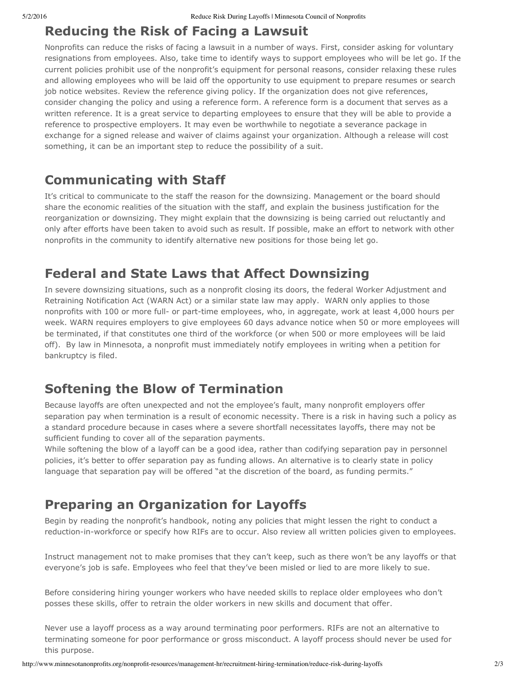# **Reducing the Risk of Facing a Lawsuit**

Nonprofits can reduce the risks of facing a lawsuit in a number of ways. First, consider asking for voluntary resignations from employees. Also, take time to identify ways to support employees who will be let go. If the current policies prohibit use of the nonprofit's equipment for personal reasons, consider relaxing these rules and allowing employees who will be laid off the opportunity to use equipment to prepare resumes or search job notice websites. Review the reference giving policy. If the organization does not give references, consider changing the policy and using a reference form. A reference form is a document that serves as a written reference. It is a great service to departing employees to ensure that they will be able to provide a reference to prospective employers. It may even be worthwhile to negotiate a severance package in exchange for a signed release and waiver of claims against your organization. Although a release will cost something, it can be an important step to reduce the possibility of a suit.

#### **Communicating with Staff**

It's critical to communicate to the staff the reason for the downsizing. Management or the board should share the economic realities of the situation with the staff, and explain the business justification for the reorganization or downsizing. They might explain that the downsizing is being carried out reluctantly and only after efforts have been taken to avoid such as result. If possible, make an effort to network with other nonprofits in the community to identify alternative new positions for those being let go.

### **Federal and State Laws that Affect Downsizing**

In severe downsizing situations, such as a nonprofit closing its doors, the federal Worker Adjustment and Retraining Notification Act (WARN Act) or a similar state law may apply. WARN only applies to those nonprofits with 100 or more full- or part-time employees, who, in aggregate, work at least 4,000 hours per week. WARN requires employers to give employees 60 days advance notice when 50 or more employees will be terminated, if that constitutes one third of the workforce (or when 500 or more employees will be laid off). By law in Minnesota, a nonprofit must immediately notify employees in writing when a petition for bankruptcy is filed.

### **Softening the Blow of Termination**

Because layoffs are often unexpected and not the employee's fault, many nonprofit employers offer separation pay when termination is a result of economic necessity. There is a risk in having such a policy as a standard procedure because in cases where a severe shortfall necessitates layoffs, there may not be sufficient funding to cover all of the separation payments.

While softening the blow of a layoff can be a good idea, rather than codifying separation pay in personnel policies, it's better to offer separation pay as funding allows. An alternative is to clearly state in policy language that separation pay will be offered "at the discretion of the board, as funding permits."

## **Preparing an Organization for Layoffs**

Begin by reading the nonprofit's handbook, noting any policies that might lessen the right to conduct a reduction-in-workforce or specify how RIFs are to occur. Also review all written policies given to employees.

Instruct management not to make promises that they can't keep, such as there won't be any layoffs or that everyone's job is safe. Employees who feel that they've been misled or lied to are more likely to sue.

Before considering hiring younger workers who have needed skills to replace older employees who don't posses these skills, offer to retrain the older workers in new skills and document that offer.

Never use a layoff process as a way around terminating poor performers. RIFs are not an alternative to terminating someone for poor performance or gross misconduct. A layoff process should never be used for this purpose.